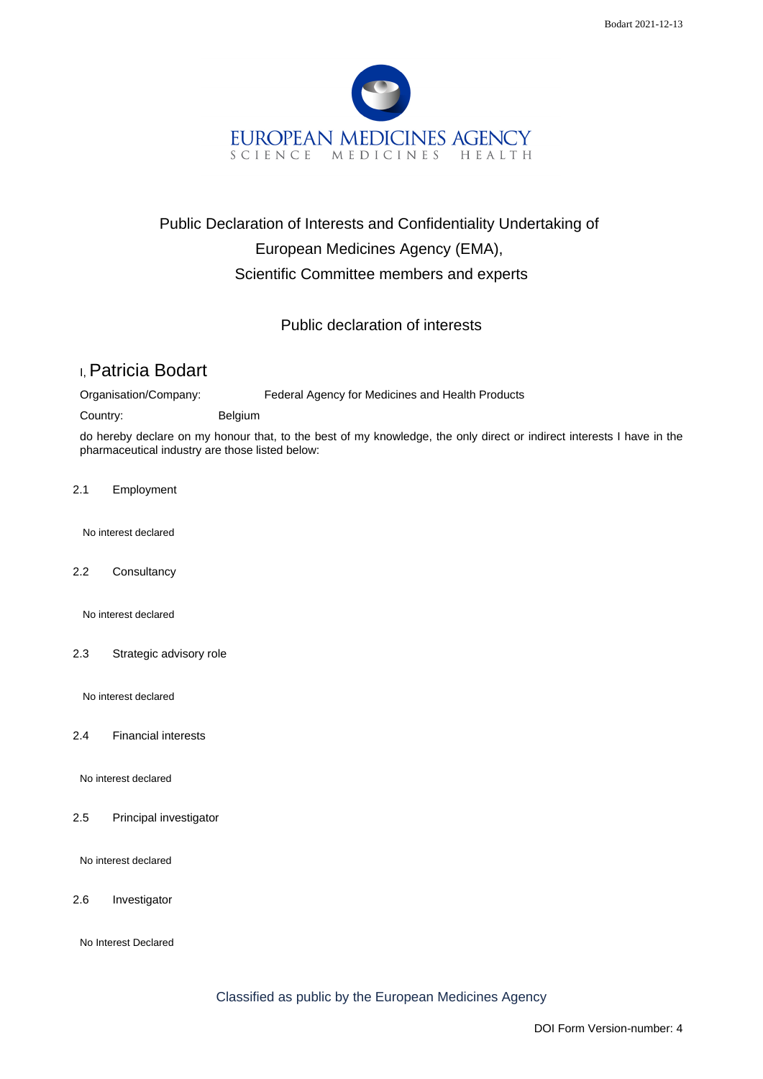

## Public Declaration of Interests and Confidentiality Undertaking of European Medicines Agency (EMA), Scientific Committee members and experts

Public declaration of interests

## I, Patricia Bodart

Organisation/Company: Federal Agency for Medicines and Health Products

Country: Belgium

do hereby declare on my honour that, to the best of my knowledge, the only direct or indirect interests I have in the pharmaceutical industry are those listed below:

2.1 Employment

No interest declared

2.2 Consultancy

No interest declared

2.3 Strategic advisory role

No interest declared

2.4 Financial interests

No interest declared

2.5 Principal investigator

No interest declared

2.6 Investigator

No Interest Declared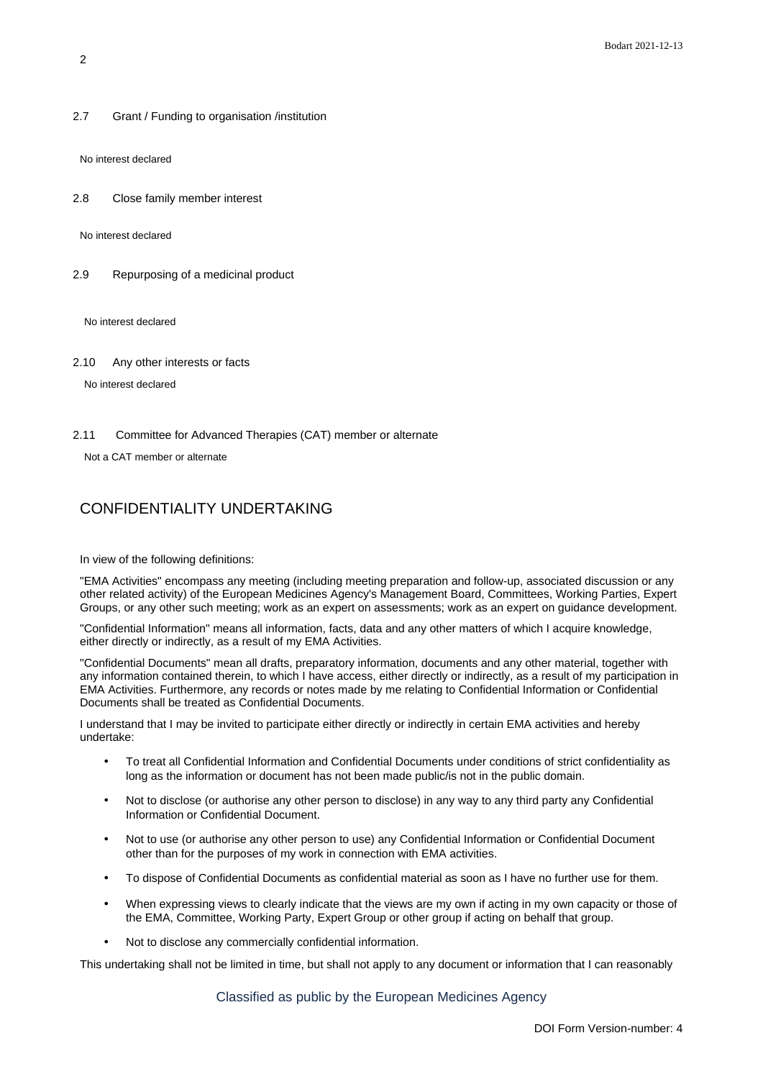2.7 Grant / Funding to organisation /institution

No interest declared

2.8 Close family member interest

No interest declared

2.9 Repurposing of a medicinal product

No interest declared

2.10 Any other interests or facts

No interest declared

2.11 Committee for Advanced Therapies (CAT) member or alternate

Not a CAT member or alternate

## CONFIDENTIALITY UNDERTAKING

In view of the following definitions:

"EMA Activities" encompass any meeting (including meeting preparation and follow-up, associated discussion or any other related activity) of the European Medicines Agency's Management Board, Committees, Working Parties, Expert Groups, or any other such meeting; work as an expert on assessments; work as an expert on guidance development.

"Confidential Information" means all information, facts, data and any other matters of which I acquire knowledge, either directly or indirectly, as a result of my EMA Activities.

"Confidential Documents" mean all drafts, preparatory information, documents and any other material, together with any information contained therein, to which I have access, either directly or indirectly, as a result of my participation in EMA Activities. Furthermore, any records or notes made by me relating to Confidential Information or Confidential Documents shall be treated as Confidential Documents.

I understand that I may be invited to participate either directly or indirectly in certain EMA activities and hereby undertake:

- To treat all Confidential Information and Confidential Documents under conditions of strict confidentiality as long as the information or document has not been made public/is not in the public domain.
- Not to disclose (or authorise any other person to disclose) in any way to any third party any Confidential Information or Confidential Document.
- Not to use (or authorise any other person to use) any Confidential Information or Confidential Document other than for the purposes of my work in connection with EMA activities.
- To dispose of Confidential Documents as confidential material as soon as I have no further use for them.
- When expressing views to clearly indicate that the views are my own if acting in my own capacity or those of the EMA, Committee, Working Party, Expert Group or other group if acting on behalf that group.
- Not to disclose any commercially confidential information.

This undertaking shall not be limited in time, but shall not apply to any document or information that I can reasonably

Classified as public by the European Medicines Agency